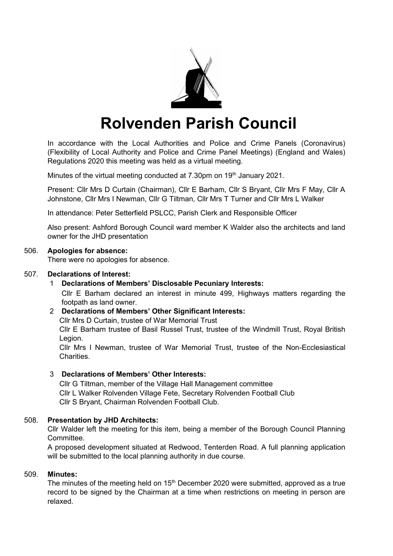

# **Rolvenden Parish Council**

In accordance with the Local Authorities and Police and Crime Panels (Coronavirus) (Flexibility of Local Authority and Police and Crime Panel Meetings) (England and Wales) Regulations 2020 this meeting was held as a virtual meeting.

Minutes of the virtual meeting conducted at 7.30pm on 19<sup>th</sup> January 2021.

Present: Cllr Mrs D Curtain (Chairman), Cllr E Barham, Cllr S Bryant, Cllr Mrs F May, Cllr A Johnstone, Cllr Mrs I Newman, Cllr G Tiltman, Cllr Mrs T Turner and Cllr Mrs L Walker

In attendance: Peter Setterfield PSLCC, Parish Clerk and Responsible Officer

Also present: Ashford Borough Council ward member K Walder also the architects and land owner for the JHD presentation

# 506. **Apologies for absence:**

There were no apologies for absence.

### 507. **Declarations of Interest:**

1 **Declarations of Members' Disclosable Pecuniary Interests:** Cllr E Barham declared an interest in minute 499, Highways matters regarding the footpath as land owner.

# 2 **Declarations of Members' Other Significant Interests:**

Cllr Mrs D Curtain, trustee of War Memorial Trust

Cllr E Barham trustee of Basil Russel Trust, trustee of the Windmill Trust, Royal British Legion.

Cllr Mrs I Newman, trustee of War Memorial Trust, trustee of the Non-Ecclesiastical **Charities** 

# 3 **Declarations of Members' Other Interests:**

Cllr G Tiltman, member of the Village Hall Management committee Cllr L Walker Rolvenden Village Fete, Secretary Rolvenden Football Club Cllr S Bryant, Chairman Rolvenden Football Club.

# 508. **Presentation by JHD Architects:**

Cllr Walder left the meeting for this item, being a member of the Borough Council Planning **Committee.** 

A proposed development situated at Redwood, Tenterden Road. A full planning application will be submitted to the local planning authority in due course.

# 509. **Minutes:**

The minutes of the meeting held on  $15<sup>th</sup>$  December 2020 were submitted, approved as a true record to be signed by the Chairman at a time when restrictions on meeting in person are relaxed.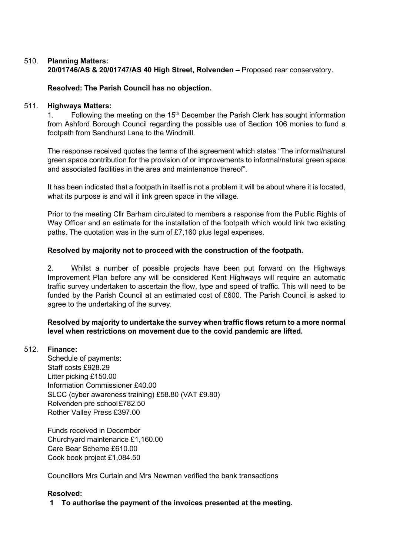# 510. **Planning Matters: 20/01746/AS & 20/01747/AS 40 High Street, Rolvenden –** Proposed rear conservatory.

# **Resolved: The Parish Council has no objection.**

### 511. **Highways Matters:**

1. Following the meeting on the  $15<sup>th</sup>$  December the Parish Clerk has sought information from Ashford Borough Council regarding the possible use of Section 106 monies to fund a footpath from Sandhurst Lane to the Windmill.

The response received quotes the terms of the agreement which states "The informal/natural green space contribution for the provision of or improvements to informal/natural green space and associated facilities in the area and maintenance thereof".

It has been indicated that a footpath in itself is not a problem it will be about where it is located, what its purpose is and will it link green space in the village.

Prior to the meeting Cllr Barham circulated to members a response from the Public Rights of Way Officer and an estimate for the installation of the footpath which would link two existing paths. The quotation was in the sum of £7,160 plus legal expenses.

# **Resolved by majority not to proceed with the construction of the footpath.**

2. Whilst a number of possible projects have been put forward on the Highways Improvement Plan before any will be considered Kent Highways will require an automatic traffic survey undertaken to ascertain the flow, type and speed of traffic. This will need to be funded by the Parish Council at an estimated cost of £600. The Parish Council is asked to agree to the undertaking of the survey.

# **Resolved by majority to undertake the survey when traffic flows return to a more normal level when restrictions on movement due to the covid pandemic are lifted.**

# 512. **Finance:**

Schedule of payments: Staff costs £928.29 Litter picking £150.00 Information Commissioner £40.00 SLCC (cyber awareness training) £58.80 (VAT £9.80) Rolvenden pre school£782.50 Rother Valley Press £397.00

Funds received in December Churchyard maintenance £1,160.00 Care Bear Scheme £610.00 Cook book project £1,084.50

Councillors Mrs Curtain and Mrs Newman verified the bank transactions

# **Resolved:**

**1 To authorise the payment of the invoices presented at the meeting.**